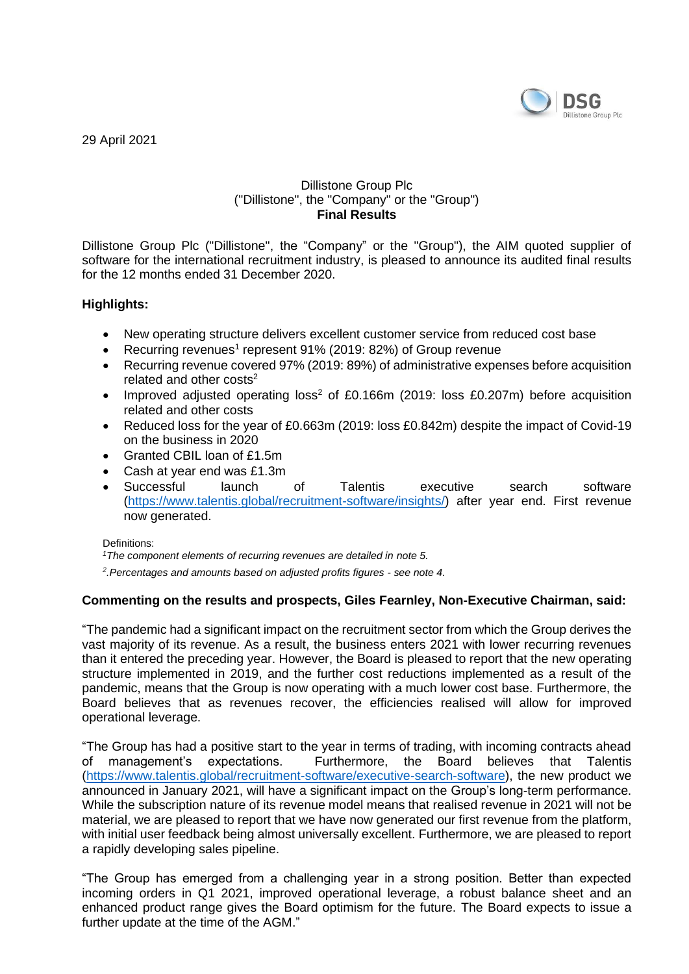

29 April 2021

#### Dillistone Group Plc ("Dillistone", the "Company" or the "Group") **Final Results**

Dillistone Group Plc ("Dillistone", the "Company" or the "Group"), the AIM quoted supplier of software for the international recruitment industry, is pleased to announce its audited final results for the 12 months ended 31 December 2020.

## **Highlights:**

- New operating structure delivers excellent customer service from reduced cost base
- Recurring revenues<sup>1</sup> represent 91% (2019: 82%) of Group revenue
- Recurring revenue covered 97% (2019: 89%) of administrative expenses before acquisition related and other costs<sup>2</sup>
- Improved adjusted operating loss<sup>2</sup> of £0.166m (2019: loss £0.207m) before acquisition related and other costs
- Reduced loss for the year of £0.663m (2019: loss £0.842m) despite the impact of Covid-19 on the business in 2020
- Granted CBIL loan of £1.5m
- Cash at year end was £1.3m
- Successful launch of Talentis executive search software [\(https://www.talentis.global/recruitment-software/insights/\)](https://www.talentis.global/recruitment-software/insights/) after year end. First revenue now generated.

#### Definitions:

*<sup>1</sup>The component elements of recurring revenues are detailed in note 5.*

*2 .Percentages and amounts based on adjusted profits figures - see note 4.*

## **Commenting on the results and prospects, Giles Fearnley, Non-Executive Chairman, said:**

"The pandemic had a significant impact on the recruitment sector from which the Group derives the vast majority of its revenue. As a result, the business enters 2021 with lower recurring revenues than it entered the preceding year. However, the Board is pleased to report that the new operating structure implemented in 2019, and the further cost reductions implemented as a result of the pandemic, means that the Group is now operating with a much lower cost base. Furthermore, the Board believes that as revenues recover, the efficiencies realised will allow for improved operational leverage.

"The Group has had a positive start to the year in terms of trading, with incoming contracts ahead of management's expectations. Furthermore, the Board believes that Talentis [\(https://www.talentis.global/recruitment-software/executive-search-software\)](https://www.talentis.global/recruitment-software/executive-search-software), the new product we announced in January 2021, will have a significant impact on the Group's long-term performance. While the subscription nature of its revenue model means that realised revenue in 2021 will not be material, we are pleased to report that we have now generated our first revenue from the platform, with initial user feedback being almost universally excellent. Furthermore, we are pleased to report a rapidly developing sales pipeline.

"The Group has emerged from a challenging year in a strong position. Better than expected incoming orders in Q1 2021, improved operational leverage, a robust balance sheet and an enhanced product range gives the Board optimism for the future. The Board expects to issue a further update at the time of the AGM."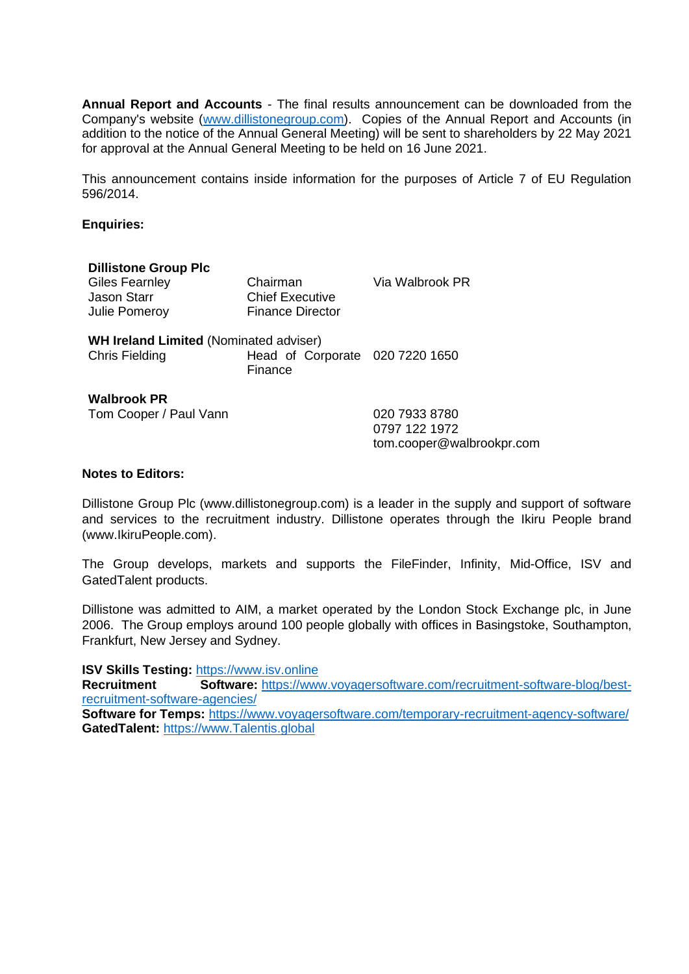**Annual Report and Accounts** - The final results announcement can be downloaded from the Company's website [\(www.dillistonegroup.com\)](http://www.dillistonegroup.com/). Copies of the Annual Report and Accounts (in addition to the notice of the Annual General Meeting) will be sent to shareholders by 22 May 2021 for approval at the Annual General Meeting to be held on 16 June 2021.

This announcement contains inside information for the purposes of Article 7 of EU Regulation 596/2014.

#### **Enquiries:**

| <b>Dillistone Group Plc</b>                                            |                                                               |                                                             |
|------------------------------------------------------------------------|---------------------------------------------------------------|-------------------------------------------------------------|
| Giles Fearnley<br>Jason Starr<br>Julie Pomeroy                         | Chairman<br><b>Chief Executive</b><br><b>Finance Director</b> | Via Walbrook PR                                             |
| <b>WH Ireland Limited (Nominated adviser)</b><br><b>Chris Fielding</b> | Head of Corporate 020 7220 1650<br>Finance                    |                                                             |
| <b>Walbrook PR</b><br>Tom Cooper / Paul Vann                           |                                                               | 020 7933 8780<br>0797 122 1972<br>tom.cooper@walbrookpr.com |

#### **Notes to Editors:**

Dillistone Group Plc (www.dillistonegroup.com) is a leader in the supply and support of software and services to the recruitment industry. Dillistone operates through the Ikiru People brand (www.IkiruPeople.com).

The Group develops, markets and supports the FileFinder, Infinity, Mid-Office, ISV and GatedTalent products.

Dillistone was admitted to AIM, a market operated by the London Stock Exchange plc, in June 2006. The Group employs around 100 people globally with offices in Basingstoke, Southampton, Frankfurt, New Jersey and Sydney.

**ISV Skills Testing:** [https://www.isv.online](https://urldefense.proofpoint.com/v2/url?u=https-3A__www.isv.online&d=DwMFaQ&c=euGZstcaTDllvimEN8b7jXrwqOf-v5A_CdpgnVfiiMM&r=UaF0oZ9xua3bxt7-qBJmFyWg40beWH-V2feCCnwE-TE&m=Q6Om40QgrqMMuIPDJ28wnqv_qPoKcHFkVod0j09dvkI&s=TUMoHvDNv9du7TKqL-_vI0JRUWa-vhtGMDvb2UJZUJI&e=)

**Recruitment Software:** [https://www.voyagersoftware.com/recruitment-software-blog/best](https://urldefense.proofpoint.com/v2/url?u=https-3A__www.voyagersoftware.com_recruitment-2Dsoftware-2Dblog_best-2Drecruitment-2Dsoftware-2Dagencies_&d=DwMFaQ&c=euGZstcaTDllvimEN8b7jXrwqOf-v5A_CdpgnVfiiMM&r=UaF0oZ9xua3bxt7-qBJmFyWg40beWH-V2feCCnwE-TE&m=Q6Om40QgrqMMuIPDJ28wnqv_qPoKcHFkVod0j09dvkI&s=lB4MK2Y_5fyGRS06NEcJYMIgtrCOBSRbybZpHFfM9u4&e=)[recruitment-software-agencies/](https://urldefense.proofpoint.com/v2/url?u=https-3A__www.voyagersoftware.com_recruitment-2Dsoftware-2Dblog_best-2Drecruitment-2Dsoftware-2Dagencies_&d=DwMFaQ&c=euGZstcaTDllvimEN8b7jXrwqOf-v5A_CdpgnVfiiMM&r=UaF0oZ9xua3bxt7-qBJmFyWg40beWH-V2feCCnwE-TE&m=Q6Om40QgrqMMuIPDJ28wnqv_qPoKcHFkVod0j09dvkI&s=lB4MK2Y_5fyGRS06NEcJYMIgtrCOBSRbybZpHFfM9u4&e=)

**Software for Temps:** [https://www.voyagersoftware.com/temporary-recruitment-agency-software/](https://urldefense.proofpoint.com/v2/url?u=https-3A__www.voyagersoftware.com_temporary-2Drecruitment-2Dagency-2Dsoftware_&d=DwMFaQ&c=euGZstcaTDllvimEN8b7jXrwqOf-v5A_CdpgnVfiiMM&r=UaF0oZ9xua3bxt7-qBJmFyWg40beWH-V2feCCnwE-TE&m=Q6Om40QgrqMMuIPDJ28wnqv_qPoKcHFkVod0j09dvkI&s=3EyNxEwZegsVCa1ixj8xO7fEav8iI3wRL0xt4MyNFAo&e=) **GatedTalent:** [https://www.Talentis.global](https://urldefense.proofpoint.com/v2/url?u=https-3A__www.Talentis.global&d=DwMFaQ&c=euGZstcaTDllvimEN8b7jXrwqOf-v5A_CdpgnVfiiMM&r=UaF0oZ9xua3bxt7-qBJmFyWg40beWH-V2feCCnwE-TE&m=Q6Om40QgrqMMuIPDJ28wnqv_qPoKcHFkVod0j09dvkI&s=asmlv5Z8nUcZPzD6_2JQqiCPEWyDsLkjYIolg0R57I0&e=)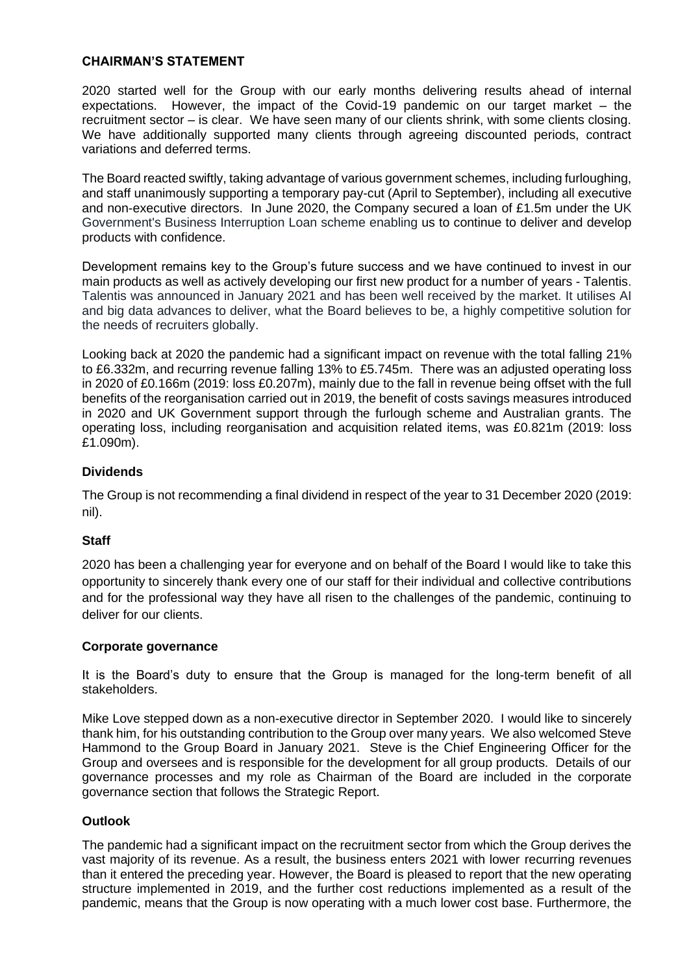#### **CHAIRMAN'S STATEMENT**

2020 started well for the Group with our early months delivering results ahead of internal expectations. However, the impact of the Covid-19 pandemic on our target market – the recruitment sector – is clear. We have seen many of our clients shrink, with some clients closing. We have additionally supported many clients through agreeing discounted periods, contract variations and deferred terms.

The Board reacted swiftly, taking advantage of various government schemes, including furloughing, and staff unanimously supporting a temporary pay-cut (April to September), including all executive and non-executive directors. In June 2020, the Company secured a loan of £1.5m under the UK Government's Business Interruption Loan scheme enabling us to continue to deliver and develop products with confidence.

Development remains key to the Group's future success and we have continued to invest in our main products as well as actively developing our first new product for a number of years - Talentis. Talentis was announced in January 2021 and has been well received by the market. It utilises AI and big data advances to deliver, what the Board believes to be, a highly competitive solution for the needs of recruiters globally.

Looking back at 2020 the pandemic had a significant impact on revenue with the total falling 21% to £6.332m, and recurring revenue falling 13% to £5.745m. There was an adjusted operating loss in 2020 of £0.166m (2019: loss £0.207m), mainly due to the fall in revenue being offset with the full benefits of the reorganisation carried out in 2019, the benefit of costs savings measures introduced in 2020 and UK Government support through the furlough scheme and Australian grants. The operating loss, including reorganisation and acquisition related items, was £0.821m (2019: loss £1.090m).

## **Dividends**

The Group is not recommending a final dividend in respect of the year to 31 December 2020 (2019: nil).

## **Staff**

2020 has been a challenging year for everyone and on behalf of the Board I would like to take this opportunity to sincerely thank every one of our staff for their individual and collective contributions and for the professional way they have all risen to the challenges of the pandemic, continuing to deliver for our clients.

## **Corporate governance**

It is the Board's duty to ensure that the Group is managed for the long-term benefit of all stakeholders.

Mike Love stepped down as a non-executive director in September 2020. I would like to sincerely thank him, for his outstanding contribution to the Group over many years. We also welcomed Steve Hammond to the Group Board in January 2021. Steve is the Chief Engineering Officer for the Group and oversees and is responsible for the development for all group products. Details of our governance processes and my role as Chairman of the Board are included in the corporate governance section that follows the Strategic Report.

## **Outlook**

The pandemic had a significant impact on the recruitment sector from which the Group derives the vast majority of its revenue. As a result, the business enters 2021 with lower recurring revenues than it entered the preceding year. However, the Board is pleased to report that the new operating structure implemented in 2019, and the further cost reductions implemented as a result of the pandemic, means that the Group is now operating with a much lower cost base. Furthermore, the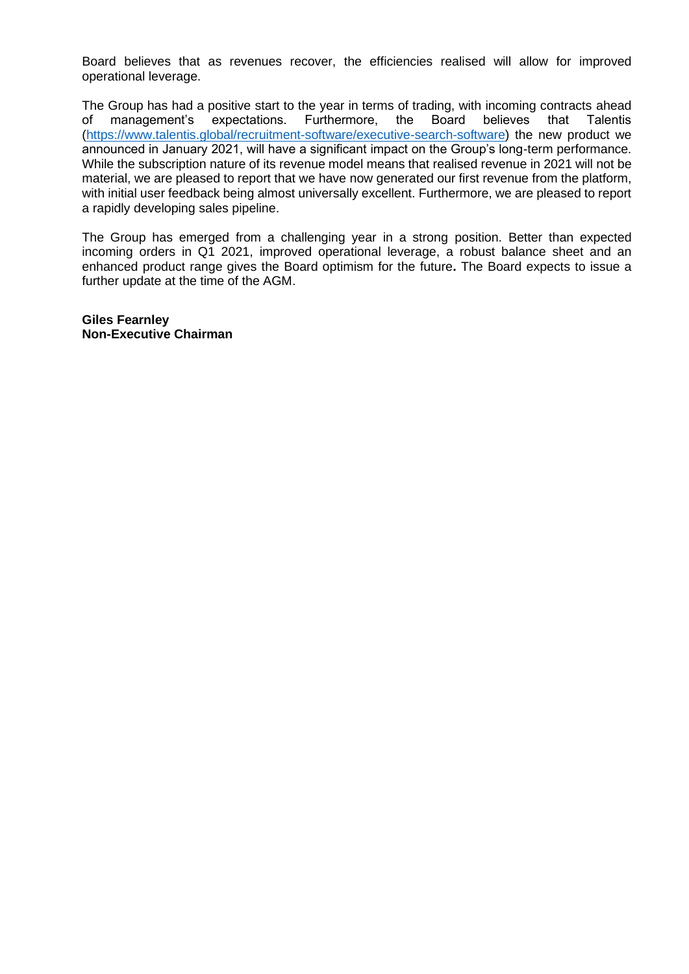Board believes that as revenues recover, the efficiencies realised will allow for improved operational leverage.

The Group has had a positive start to the year in terms of trading, with incoming contracts ahead<br>of management's expectations. Furthermore, the Board believes that Talentis of management's expectations. Furthermore, the Board believes that Talentis [\(https://www.talentis.global/recruitment-software/executive-search-software\)](https://www.talentis.global/recruitment-software/executive-search-software) the new product we announced in January 2021, will have a significant impact on the Group's long-term performance. While the subscription nature of its revenue model means that realised revenue in 2021 will not be material, we are pleased to report that we have now generated our first revenue from the platform, with initial user feedback being almost universally excellent. Furthermore, we are pleased to report a rapidly developing sales pipeline.

The Group has emerged from a challenging year in a strong position. Better than expected incoming orders in Q1 2021, improved operational leverage, a robust balance sheet and an enhanced product range gives the Board optimism for the future**.** The Board expects to issue a further update at the time of the AGM.

**Giles Fearnley Non-Executive Chairman**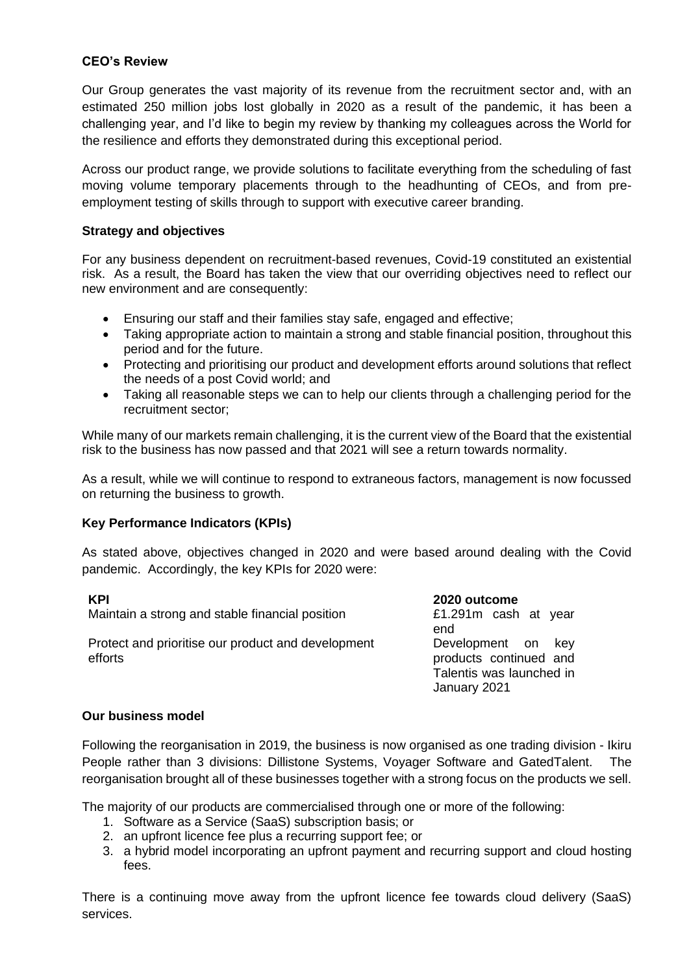#### **CEO's Review**

Our Group generates the vast majority of its revenue from the recruitment sector and, with an estimated 250 million jobs lost globally in 2020 as a result of the pandemic, it has been a challenging year, and I'd like to begin my review by thanking my colleagues across the World for the resilience and efforts they demonstrated during this exceptional period.

Across our product range, we provide solutions to facilitate everything from the scheduling of fast moving volume temporary placements through to the headhunting of CEOs, and from preemployment testing of skills through to support with executive career branding.

#### **Strategy and objectives**

For any business dependent on recruitment-based revenues, Covid-19 constituted an existential risk. As a result, the Board has taken the view that our overriding objectives need to reflect our new environment and are consequently:

- Ensuring our staff and their families stay safe, engaged and effective;
- Taking appropriate action to maintain a strong and stable financial position, throughout this period and for the future.
- Protecting and prioritising our product and development efforts around solutions that reflect the needs of a post Covid world; and
- Taking all reasonable steps we can to help our clients through a challenging period for the recruitment sector;

While many of our markets remain challenging, it is the current view of the Board that the existential risk to the business has now passed and that 2021 will see a return towards normality.

As a result, while we will continue to respond to extraneous factors, management is now focussed on returning the business to growth.

## **Key Performance Indicators (KPIs)**

As stated above, objectives changed in 2020 and were based around dealing with the Covid pandemic. Accordingly, the key KPIs for 2020 were:

**KPI**<br>Maintain a strong and stable financial position **1990 2020 outcome**<br>E1.291m cash at year Maintain a strong and stable financial position

Protect and prioritise our product and development efforts

end Development on key products continued and Talentis was launched in January 2021

#### **Our business model**

Following the reorganisation in 2019, the business is now organised as one trading division - Ikiru People rather than 3 divisions: Dillistone Systems, Voyager Software and GatedTalent. The reorganisation brought all of these businesses together with a strong focus on the products we sell.

The majority of our products are commercialised through one or more of the following:

- 1. Software as a Service (SaaS) subscription basis; or
- 2. an upfront licence fee plus a recurring support fee; or
- 3. a hybrid model incorporating an upfront payment and recurring support and cloud hosting fees.

There is a continuing move away from the upfront licence fee towards cloud delivery (SaaS) services.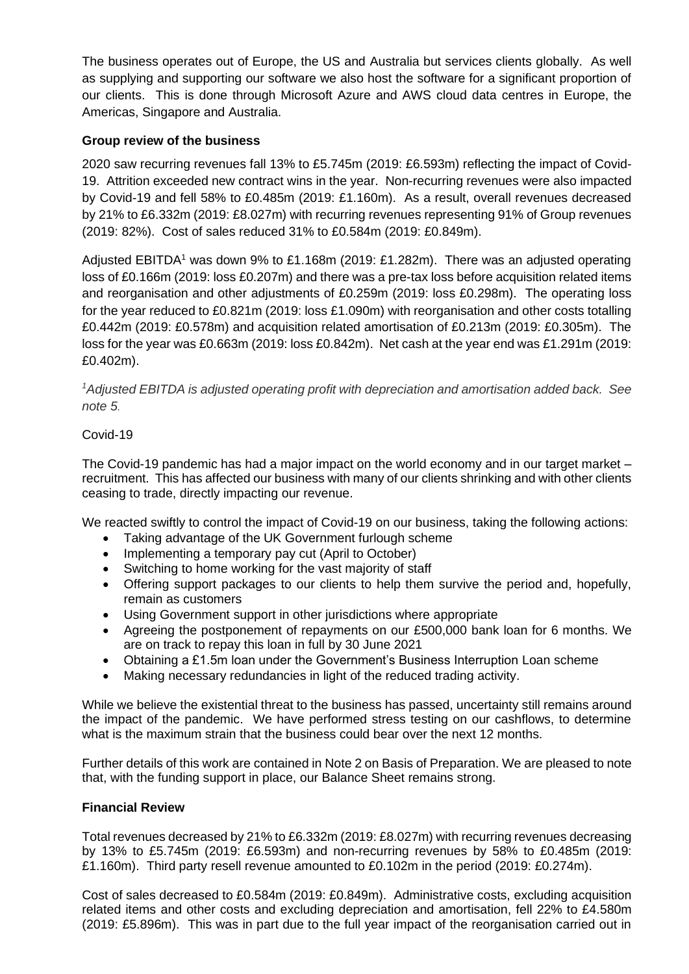The business operates out of Europe, the US and Australia but services clients globally. As well as supplying and supporting our software we also host the software for a significant proportion of our clients. This is done through Microsoft Azure and AWS cloud data centres in Europe, the Americas, Singapore and Australia.

## **Group review of the business**

2020 saw recurring revenues fall 13% to £5.745m (2019: £6.593m) reflecting the impact of Covid-19. Attrition exceeded new contract wins in the year. Non-recurring revenues were also impacted by Covid-19 and fell 58% to £0.485m (2019: £1.160m). As a result, overall revenues decreased by 21% to £6.332m (2019: £8.027m) with recurring revenues representing 91% of Group revenues (2019: 82%). Cost of sales reduced 31% to £0.584m (2019: £0.849m).

Adjusted EBITDA<sup>1</sup> was down 9% to £1.168m (2019: £1.282m). There was an adjusted operating loss of £0.166m (2019: loss £0.207m) and there was a pre-tax loss before acquisition related items and reorganisation and other adjustments of £0.259m (2019: loss £0.298m). The operating loss for the year reduced to £0.821m (2019: loss £1.090m) with reorganisation and other costs totalling £0.442m (2019: £0.578m) and acquisition related amortisation of £0.213m (2019: £0.305m). The loss for the year was £0.663m (2019: loss £0.842m). Net cash at the year end was £1.291m (2019: £0.402m).

*<sup>1</sup>Adjusted EBITDA is adjusted operating profit with depreciation and amortisation added back. See note 5.*

## Covid-19

The Covid-19 pandemic has had a major impact on the world economy and in our target market – recruitment. This has affected our business with many of our clients shrinking and with other clients ceasing to trade, directly impacting our revenue.

We reacted swiftly to control the impact of Covid-19 on our business, taking the following actions:

- Taking advantage of the UK Government furlough scheme
- Implementing a temporary pay cut (April to October)
- Switching to home working for the vast majority of staff
- Offering support packages to our clients to help them survive the period and, hopefully, remain as customers
- Using Government support in other jurisdictions where appropriate
- Agreeing the postponement of repayments on our £500,000 bank loan for 6 months. We are on track to repay this loan in full by 30 June 2021
- Obtaining a £1.5m loan under the Government's Business Interruption Loan scheme
- Making necessary redundancies in light of the reduced trading activity.

While we believe the existential threat to the business has passed, uncertainty still remains around the impact of the pandemic. We have performed stress testing on our cashflows, to determine what is the maximum strain that the business could bear over the next 12 months.

Further details of this work are contained in Note 2 on Basis of Preparation. We are pleased to note that, with the funding support in place, our Balance Sheet remains strong.

## **Financial Review**

Total revenues decreased by 21% to £6.332m (2019: £8.027m) with recurring revenues decreasing by 13% to £5.745m (2019: £6.593m) and non-recurring revenues by 58% to £0.485m (2019: £1.160m). Third party resell revenue amounted to £0.102m in the period (2019: £0.274m).

Cost of sales decreased to £0.584m (2019: £0.849m). Administrative costs, excluding acquisition related items and other costs and excluding depreciation and amortisation, fell 22% to £4.580m (2019: £5.896m). This was in part due to the full year impact of the reorganisation carried out in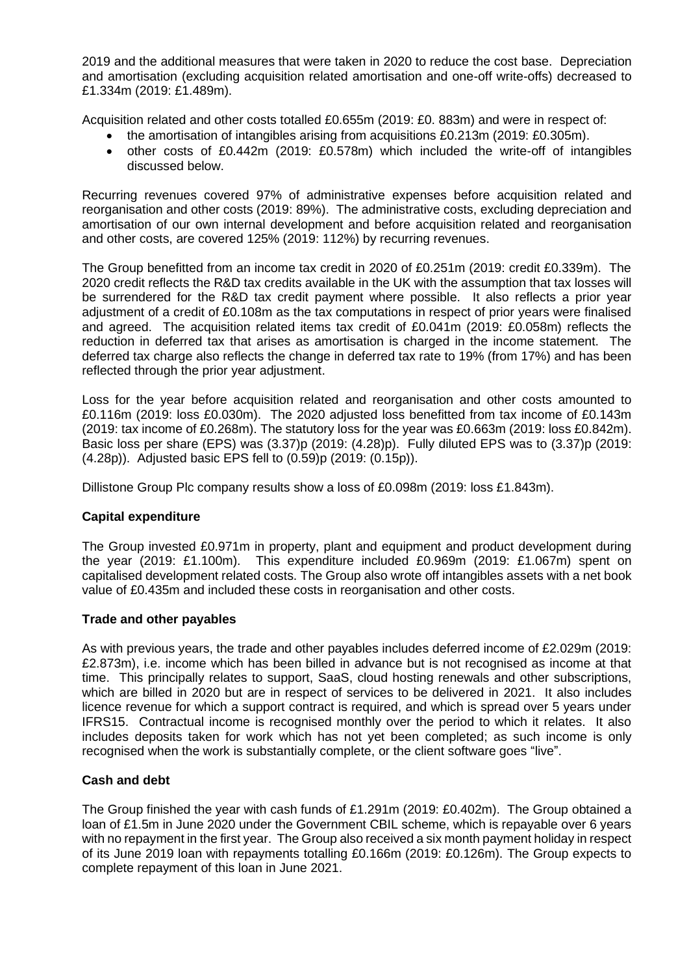2019 and the additional measures that were taken in 2020 to reduce the cost base. Depreciation and amortisation (excluding acquisition related amortisation and one-off write-offs) decreased to £1.334m (2019: £1.489m).

Acquisition related and other costs totalled £0.655m (2019: £0. 883m) and were in respect of:

- the amortisation of intangibles arising from acquisitions £0.213m (2019: £0.305m).
- other costs of £0.442m (2019: £0.578m) which included the write-off of intangibles discussed below.

Recurring revenues covered 97% of administrative expenses before acquisition related and reorganisation and other costs (2019: 89%). The administrative costs, excluding depreciation and amortisation of our own internal development and before acquisition related and reorganisation and other costs, are covered 125% (2019: 112%) by recurring revenues.

The Group benefitted from an income tax credit in 2020 of £0.251m (2019: credit £0.339m). The 2020 credit reflects the R&D tax credits available in the UK with the assumption that tax losses will be surrendered for the R&D tax credit payment where possible. It also reflects a prior year adjustment of a credit of £0.108m as the tax computations in respect of prior years were finalised and agreed. The acquisition related items tax credit of £0.041m (2019: £0.058m) reflects the reduction in deferred tax that arises as amortisation is charged in the income statement. The deferred tax charge also reflects the change in deferred tax rate to 19% (from 17%) and has been reflected through the prior year adjustment.

Loss for the year before acquisition related and reorganisation and other costs amounted to £0.116m (2019: loss £0.030m). The 2020 adjusted loss benefitted from tax income of £0.143m (2019: tax income of £0.268m). The statutory loss for the year was £0.663m (2019: loss £0.842m). Basic loss per share (EPS) was (3.37)p (2019: (4.28)p). Fully diluted EPS was to (3.37)p (2019: (4.28p)). Adjusted basic EPS fell to (0.59)p (2019: (0.15p)).

Dillistone Group Plc company results show a loss of £0.098m (2019: loss £1.843m).

## **Capital expenditure**

The Group invested £0.971m in property, plant and equipment and product development during the year (2019: £1.100m). This expenditure included £0.969m (2019: £1.067m) spent on capitalised development related costs. The Group also wrote off intangibles assets with a net book value of £0.435m and included these costs in reorganisation and other costs.

#### **Trade and other payables**

As with previous years, the trade and other payables includes deferred income of £2.029m (2019: £2.873m), i.e. income which has been billed in advance but is not recognised as income at that time. This principally relates to support, SaaS, cloud hosting renewals and other subscriptions, which are billed in 2020 but are in respect of services to be delivered in 2021. It also includes licence revenue for which a support contract is required, and which is spread over 5 years under IFRS15. Contractual income is recognised monthly over the period to which it relates. It also includes deposits taken for work which has not yet been completed; as such income is only recognised when the work is substantially complete, or the client software goes "live".

#### **Cash and debt**

The Group finished the year with cash funds of £1.291m (2019: £0.402m). The Group obtained a loan of £1.5m in June 2020 under the Government CBIL scheme, which is repayable over 6 years with no repayment in the first year. The Group also received a six month payment holiday in respect of its June 2019 loan with repayments totalling £0.166m (2019: £0.126m). The Group expects to complete repayment of this loan in June 2021.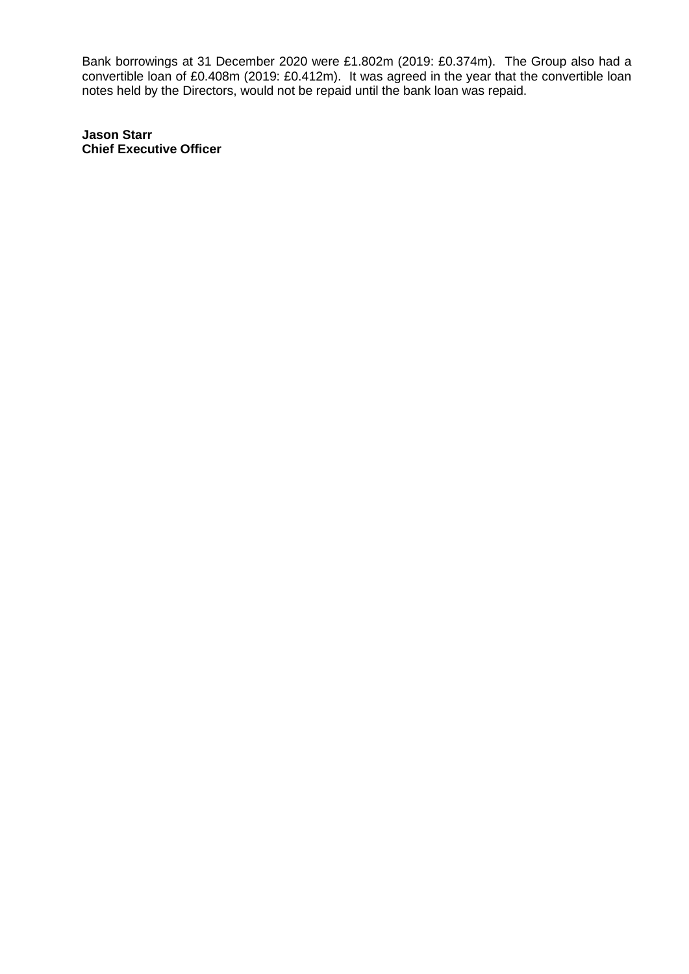Bank borrowings at 31 December 2020 were £1.802m (2019: £0.374m). The Group also had a convertible loan of £0.408m (2019: £0.412m). It was agreed in the year that the convertible loan notes held by the Directors, would not be repaid until the bank loan was repaid.

**Jason Starr Chief Executive Officer**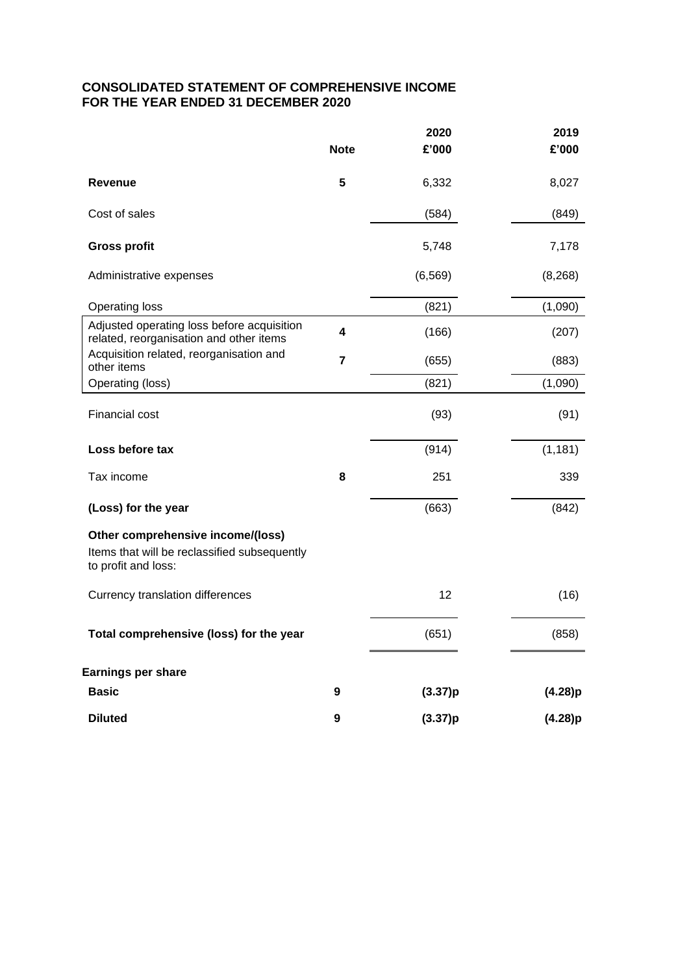## **CONSOLIDATED STATEMENT OF COMPREHENSIVE INCOME FOR THE YEAR ENDED 31 DECEMBER 2020**

|                                                                                                          | <b>Note</b> | 2020<br>£'000 | 2019<br>£'000 |
|----------------------------------------------------------------------------------------------------------|-------------|---------------|---------------|
| Revenue                                                                                                  | 5           | 6,332         | 8,027         |
| Cost of sales                                                                                            |             | (584)         | (849)         |
| <b>Gross profit</b>                                                                                      |             | 5,748         | 7,178         |
| Administrative expenses                                                                                  |             | (6, 569)      | (8, 268)      |
| <b>Operating loss</b>                                                                                    |             | (821)         | (1,090)       |
| Adjusted operating loss before acquisition<br>related, reorganisation and other items                    | 4           | (166)         | (207)         |
| Acquisition related, reorganisation and<br>other items                                                   | 7           | (655)         | (883)         |
| Operating (loss)                                                                                         |             | (821)         | (1,090)       |
| <b>Financial cost</b>                                                                                    |             | (93)          | (91)          |
| Loss before tax                                                                                          |             | (914)         | (1, 181)      |
| Tax income                                                                                               | 8           | 251           | 339           |
| (Loss) for the year                                                                                      |             | (663)         | (842)         |
| Other comprehensive income/(loss)<br>Items that will be reclassified subsequently<br>to profit and loss: |             |               |               |
| Currency translation differences                                                                         |             | 12            | (16)          |
| Total comprehensive (loss) for the year                                                                  |             | (651)         | (858)         |
| <b>Earnings per share</b>                                                                                |             |               |               |
| <b>Basic</b>                                                                                             | 9           | (3.37)p       | (4.28)p       |
| <b>Diluted</b>                                                                                           | 9           | (3.37)p       | (4.28)p       |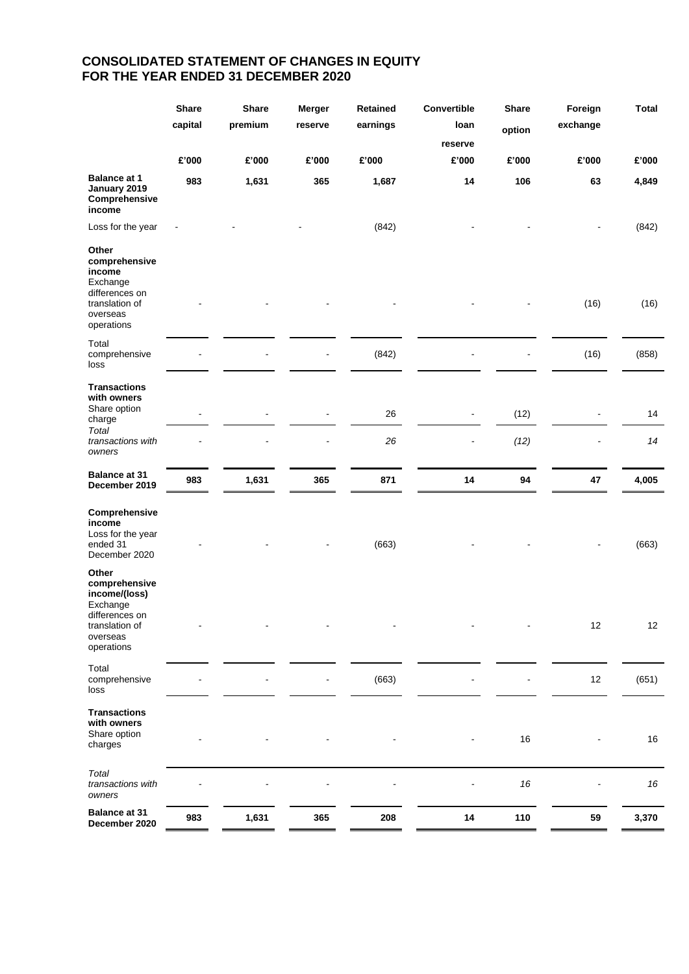## **CONSOLIDATED STATEMENT OF CHANGES IN EQUITY FOR THE YEAR ENDED 31 DECEMBER 2020**

|                                                                                                                   | <b>Share</b><br>capital | <b>Share</b><br>premium | <b>Merger</b><br>reserve | Retained<br>earnings | Convertible<br>Ioan<br>reserve | <b>Share</b><br>option | Foreign<br>exchange | <b>Total</b> |
|-------------------------------------------------------------------------------------------------------------------|-------------------------|-------------------------|--------------------------|----------------------|--------------------------------|------------------------|---------------------|--------------|
|                                                                                                                   | £'000                   | £'000                   | £'000                    | £'000                | £'000                          | £'000                  | £'000               | £'000        |
| <b>Balance at 1</b><br>January 2019<br>Comprehensive<br>income                                                    | 983                     | 1,631                   | 365                      | 1,687                | 14                             | 106                    | 63                  | 4,849        |
| Loss for the year                                                                                                 |                         |                         |                          | (842)                |                                |                        |                     | (842)        |
| Other<br>comprehensive<br>income<br>Exchange<br>differences on<br>translation of<br>overseas<br>operations        |                         |                         |                          |                      |                                |                        | (16)                | (16)         |
| Total<br>comprehensive<br>loss                                                                                    |                         |                         |                          | (842)                |                                |                        | (16)                | (858)        |
| <b>Transactions</b><br>with owners<br>Share option<br>charge                                                      |                         |                         |                          | 26                   | ٠                              | (12)                   |                     | 14           |
| Total<br>transactions with<br>owners                                                                              |                         |                         |                          | 26                   | $\qquad \qquad \blacksquare$   | (12)                   |                     | 14           |
| <b>Balance at 31</b><br>December 2019                                                                             | 983                     | 1,631                   | 365                      | 871                  | 14                             | 94                     | 47                  | 4,005        |
| Comprehensive<br>income<br>Loss for the year<br>ended 31<br>December 2020                                         |                         |                         |                          | (663)                |                                |                        |                     | (663)        |
| Other<br>comprehensive<br>income/(loss)<br>Exchange<br>differences on<br>translation of<br>overseas<br>operations |                         |                         |                          |                      |                                |                        | 12                  | 12           |
| Total<br>comprehensive<br>loss                                                                                    |                         |                         | $\blacksquare$           | (663)                |                                | ۰                      | 12                  | (651)        |
| <b>Transactions</b><br>with owners<br>Share option<br>charges                                                     |                         |                         |                          |                      |                                | 16                     |                     | $16\,$       |
| Total<br>transactions with<br>owners                                                                              |                         |                         |                          |                      |                                | $16\,$                 |                     | $16\,$       |
| <b>Balance at 31</b><br>December 2020                                                                             | 983                     | 1,631                   | 365                      | 208                  | ${\bf 14}$                     | 110                    | 59                  | 3,370        |
|                                                                                                                   |                         |                         |                          |                      |                                |                        |                     |              |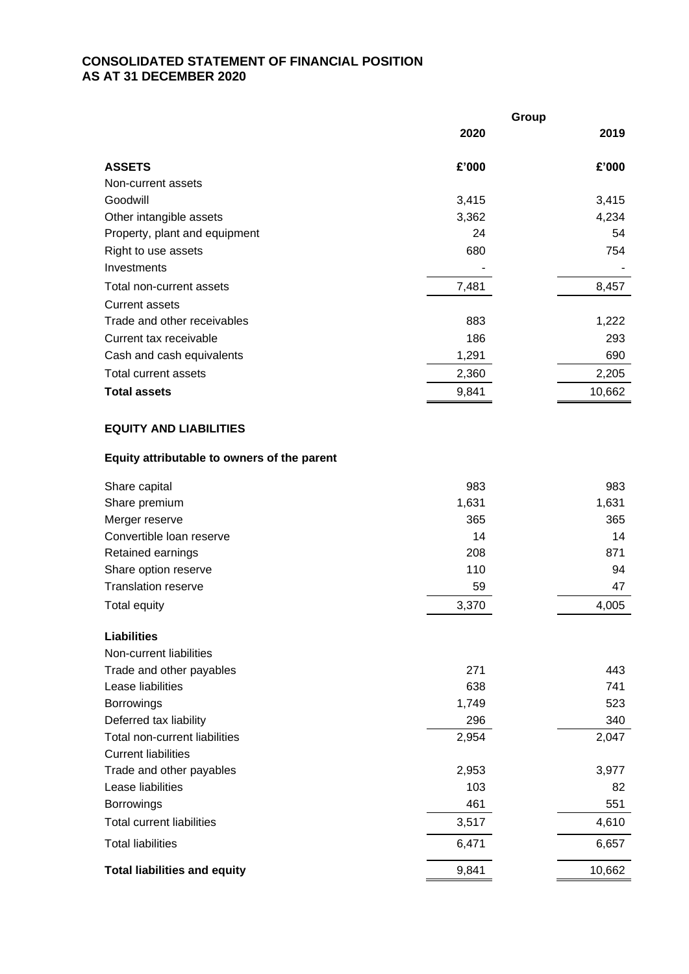## **CONSOLIDATED STATEMENT OF FINANCIAL POSITION AS AT 31 DECEMBER 2020**

|                                             |       | Group |        |
|---------------------------------------------|-------|-------|--------|
|                                             | 2020  |       | 2019   |
| <b>ASSETS</b>                               | £'000 |       | £'000  |
| Non-current assets                          |       |       |        |
| Goodwill                                    | 3,415 |       | 3,415  |
| Other intangible assets                     | 3,362 |       | 4,234  |
| Property, plant and equipment               | 24    |       | 54     |
| Right to use assets                         | 680   |       | 754    |
| Investments                                 |       |       |        |
| Total non-current assets                    | 7,481 |       | 8,457  |
| <b>Current assets</b>                       |       |       |        |
| Trade and other receivables                 | 883   |       | 1,222  |
| Current tax receivable                      | 186   |       | 293    |
| Cash and cash equivalents                   | 1,291 |       | 690    |
| Total current assets                        | 2,360 |       | 2,205  |
| <b>Total assets</b>                         | 9,841 |       | 10,662 |
|                                             |       |       |        |
| <b>EQUITY AND LIABILITIES</b>               |       |       |        |
| Equity attributable to owners of the parent |       |       |        |
| Share capital                               | 983   |       | 983    |
| Share premium                               | 1,631 |       | 1,631  |
| Merger reserve                              | 365   |       | 365    |
| Convertible loan reserve                    | 14    |       | 14     |
| Retained earnings                           | 208   |       | 871    |
| Share option reserve                        | 110   |       | 94     |
| <b>Translation reserve</b>                  | 59    |       | 47     |
| <b>Total equity</b>                         | 3,370 |       | 4,005  |
| <b>Liabilities</b>                          |       |       |        |
| Non-current liabilities                     |       |       |        |
| Trade and other payables                    | 271   |       | 443    |
| Lease liabilities                           | 638   |       | 741    |
| Borrowings                                  | 1,749 |       | 523    |
| Deferred tax liability                      | 296   |       | 340    |
| Total non-current liabilities               | 2,954 |       | 2,047  |
| <b>Current liabilities</b>                  |       |       |        |
| Trade and other payables                    | 2,953 |       | 3,977  |
| Lease liabilities                           | 103   |       | 82     |
| Borrowings                                  | 461   |       | 551    |
| <b>Total current liabilities</b>            | 3,517 |       | 4,610  |
| <b>Total liabilities</b>                    | 6,471 |       | 6,657  |
| <b>Total liabilities and equity</b>         | 9,841 |       | 10,662 |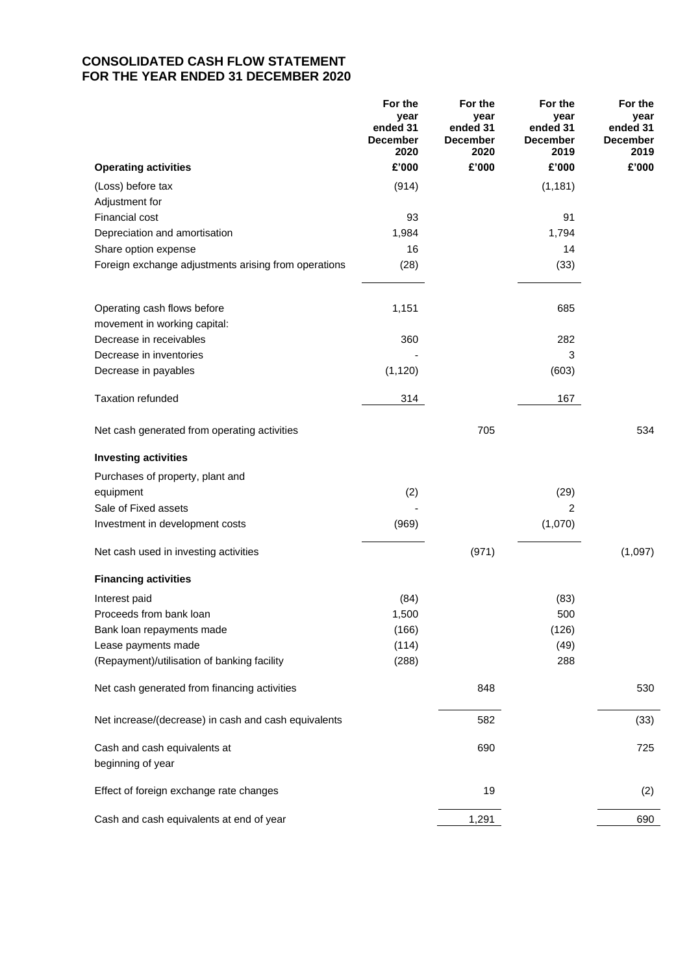## **CONSOLIDATED CASH FLOW STATEMENT FOR THE YEAR ENDED 31 DECEMBER 2020**

|                                                      | For the<br>vear<br>ended 31<br><b>December</b><br>2020 | For the<br>year<br>ended 31<br><b>December</b><br>2020 | For the<br>year<br>ended 31<br><b>December</b><br>2019 | For the<br>year<br>ended 31<br><b>December</b><br>2019 |
|------------------------------------------------------|--------------------------------------------------------|--------------------------------------------------------|--------------------------------------------------------|--------------------------------------------------------|
| <b>Operating activities</b>                          | £'000                                                  | £'000                                                  | £'000                                                  | £'000                                                  |
| (Loss) before tax                                    | (914)                                                  |                                                        | (1, 181)                                               |                                                        |
| Adjustment for                                       |                                                        |                                                        |                                                        |                                                        |
| Financial cost                                       | 93                                                     |                                                        | 91                                                     |                                                        |
| Depreciation and amortisation                        | 1,984                                                  |                                                        | 1,794                                                  |                                                        |
| Share option expense                                 | 16                                                     |                                                        | 14                                                     |                                                        |
| Foreign exchange adjustments arising from operations | (28)                                                   |                                                        | (33)                                                   |                                                        |
| Operating cash flows before                          | 1,151                                                  |                                                        | 685                                                    |                                                        |
| movement in working capital:                         |                                                        |                                                        |                                                        |                                                        |
| Decrease in receivables                              | 360                                                    |                                                        | 282                                                    |                                                        |
| Decrease in inventories                              |                                                        |                                                        | 3                                                      |                                                        |
| Decrease in payables                                 | (1, 120)                                               |                                                        | (603)                                                  |                                                        |
| <b>Taxation refunded</b>                             | 314                                                    |                                                        | 167                                                    |                                                        |
| Net cash generated from operating activities         |                                                        | 705                                                    |                                                        | 534                                                    |
| <b>Investing activities</b>                          |                                                        |                                                        |                                                        |                                                        |
| Purchases of property, plant and                     |                                                        |                                                        |                                                        |                                                        |
| equipment                                            | (2)                                                    |                                                        | (29)                                                   |                                                        |
| Sale of Fixed assets                                 |                                                        |                                                        | 2                                                      |                                                        |
| Investment in development costs                      | (969)                                                  |                                                        | (1,070)                                                |                                                        |
| Net cash used in investing activities                |                                                        | (971)                                                  |                                                        | (1,097)                                                |
| <b>Financing activities</b>                          |                                                        |                                                        |                                                        |                                                        |
| Interest paid                                        | (84)                                                   |                                                        | (83)                                                   |                                                        |
| Proceeds from bank loan                              | 1,500                                                  |                                                        | 500                                                    |                                                        |
| Bank loan repayments made                            | (166)                                                  |                                                        | (126)                                                  |                                                        |
| Lease payments made                                  | (114)                                                  |                                                        | (49)                                                   |                                                        |
| (Repayment)/utilisation of banking facility          | (288)                                                  |                                                        | 288                                                    |                                                        |
| Net cash generated from financing activities         |                                                        | 848                                                    |                                                        | 530                                                    |
| Net increase/(decrease) in cash and cash equivalents |                                                        | 582                                                    |                                                        | (33)                                                   |
| Cash and cash equivalents at                         |                                                        | 690                                                    |                                                        | 725                                                    |
| beginning of year                                    |                                                        |                                                        |                                                        |                                                        |
| Effect of foreign exchange rate changes              |                                                        | 19                                                     |                                                        | (2)                                                    |
| Cash and cash equivalents at end of year             |                                                        | 1,291                                                  |                                                        | 690                                                    |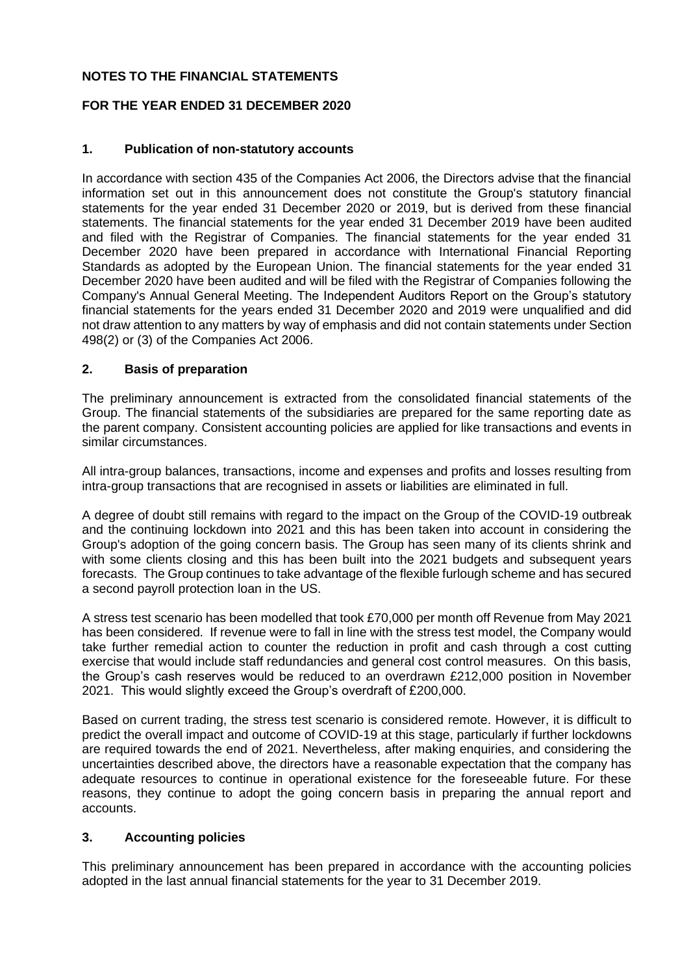## **NOTES TO THE FINANCIAL STATEMENTS**

## **FOR THE YEAR ENDED 31 DECEMBER 2020**

## **1. Publication of non-statutory accounts**

In accordance with section 435 of the Companies Act 2006, the Directors advise that the financial information set out in this announcement does not constitute the Group's statutory financial statements for the year ended 31 December 2020 or 2019, but is derived from these financial statements. The financial statements for the year ended 31 December 2019 have been audited and filed with the Registrar of Companies. The financial statements for the year ended 31 December 2020 have been prepared in accordance with International Financial Reporting Standards as adopted by the European Union. The financial statements for the year ended 31 December 2020 have been audited and will be filed with the Registrar of Companies following the Company's Annual General Meeting. The Independent Auditors Report on the Group's statutory financial statements for the years ended 31 December 2020 and 2019 were unqualified and did not draw attention to any matters by way of emphasis and did not contain statements under Section 498(2) or (3) of the Companies Act 2006.

## **2. Basis of preparation**

The preliminary announcement is extracted from the consolidated financial statements of the Group. The financial statements of the subsidiaries are prepared for the same reporting date as the parent company. Consistent accounting policies are applied for like transactions and events in similar circumstances.

All intra-group balances, transactions, income and expenses and profits and losses resulting from intra-group transactions that are recognised in assets or liabilities are eliminated in full.

A degree of doubt still remains with regard to the impact on the Group of the COVID-19 outbreak and the continuing lockdown into 2021 and this has been taken into account in considering the Group's adoption of the going concern basis. The Group has seen many of its clients shrink and with some clients closing and this has been built into the 2021 budgets and subsequent years forecasts. The Group continues to take advantage of the flexible furlough scheme and has secured a second payroll protection loan in the US.

A stress test scenario has been modelled that took £70,000 per month off Revenue from May 2021 has been considered. If revenue were to fall in line with the stress test model, the Company would take further remedial action to counter the reduction in profit and cash through a cost cutting exercise that would include staff redundancies and general cost control measures. On this basis, the Group's cash reserves would be reduced to an overdrawn £212,000 position in November 2021. This would slightly exceed the Group's overdraft of £200,000.

Based on current trading, the stress test scenario is considered remote. However, it is difficult to predict the overall impact and outcome of COVID-19 at this stage, particularly if further lockdowns are required towards the end of 2021. Nevertheless, after making enquiries, and considering the uncertainties described above, the directors have a reasonable expectation that the company has adequate resources to continue in operational existence for the foreseeable future. For these reasons, they continue to adopt the going concern basis in preparing the annual report and accounts.

## **3. Accounting policies**

This preliminary announcement has been prepared in accordance with the accounting policies adopted in the last annual financial statements for the year to 31 December 2019.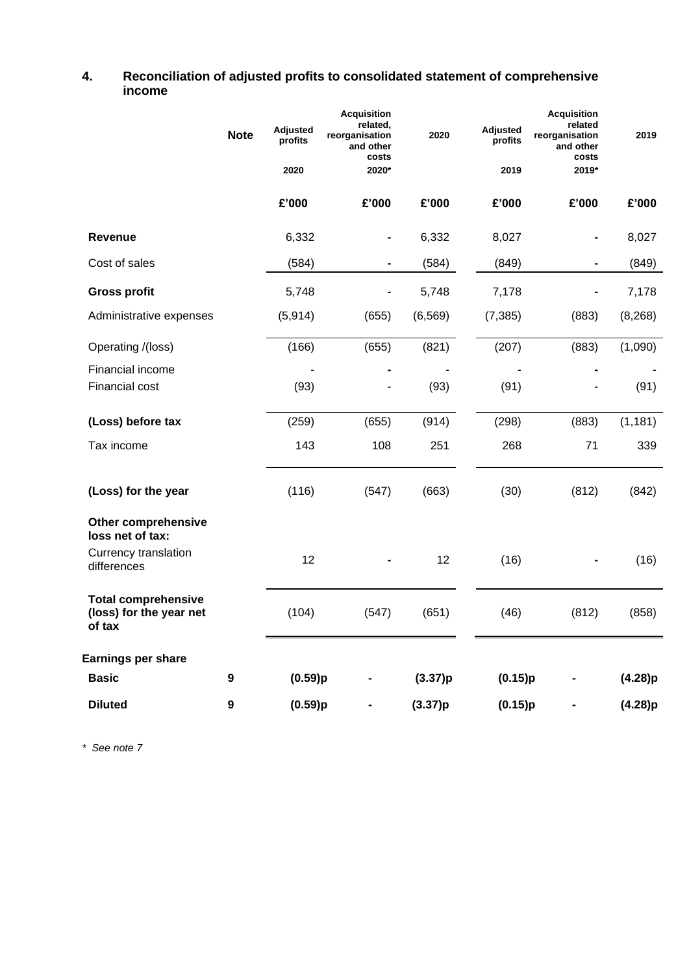## **4. Reconciliation of adjusted profits to consolidated statement of comprehensive income**

|                                                                 | <b>Note</b> | <b>Adjusted</b><br>profits<br>2020 | <b>Acquisition</b><br>related,<br>reorganisation<br>and other<br>costs<br>2020* | 2020     | <b>Adjusted</b><br>profits<br>2019 | <b>Acquisition</b><br>related<br>reorganisation<br>and other<br>costs<br>2019* | 2019     |
|-----------------------------------------------------------------|-------------|------------------------------------|---------------------------------------------------------------------------------|----------|------------------------------------|--------------------------------------------------------------------------------|----------|
|                                                                 |             | £'000                              | £'000                                                                           | £'000    | £'000                              | £'000                                                                          | £'000    |
| Revenue                                                         |             | 6,332                              | $\qquad \qquad \blacksquare$                                                    | 6,332    | 8,027                              |                                                                                | 8,027    |
| Cost of sales                                                   |             | (584)                              | $\qquad \qquad \blacksquare$                                                    | (584)    | (849)                              |                                                                                | (849)    |
| <b>Gross profit</b>                                             |             | 5,748                              |                                                                                 | 5,748    | 7,178                              |                                                                                | 7,178    |
| Administrative expenses                                         |             | (5, 914)                           | (655)                                                                           | (6, 569) | (7, 385)                           | (883)                                                                          | (8, 268) |
| Operating /(loss)                                               |             | (166)                              | (655)                                                                           | (821)    | (207)                              | (883)                                                                          | (1,090)  |
| Financial income                                                |             |                                    |                                                                                 |          |                                    |                                                                                |          |
| Financial cost                                                  |             | (93)                               |                                                                                 | (93)     | (91)                               |                                                                                | (91)     |
| (Loss) before tax                                               |             | (259)                              | (655)                                                                           | (914)    | (298)                              | (883)                                                                          | (1, 181) |
| Tax income                                                      |             | 143                                | 108                                                                             | 251      | 268                                | 71                                                                             | 339      |
| (Loss) for the year                                             |             | (116)                              | (547)                                                                           | (663)    | (30)                               | (812)                                                                          | (842)    |
| <b>Other comprehensive</b><br>loss net of tax:                  |             |                                    |                                                                                 |          |                                    |                                                                                |          |
| Currency translation<br>differences                             |             | 12                                 |                                                                                 | 12       | (16)                               |                                                                                | (16)     |
| <b>Total comprehensive</b><br>(loss) for the year net<br>of tax |             | (104)                              | (547)                                                                           | (651)    | (46)                               | (812)                                                                          | (858)    |
| Earnings per share                                              |             |                                    |                                                                                 |          |                                    |                                                                                |          |
| <b>Basic</b>                                                    | 9           | (0.59)p                            |                                                                                 | (3.37)p  | (0.15)p                            |                                                                                | (4.28)p  |
| <b>Diluted</b>                                                  | 9           | (0.59)p                            |                                                                                 | (3.37)p  | (0.15)p                            |                                                                                | (4.28)p  |

*\* See note 7*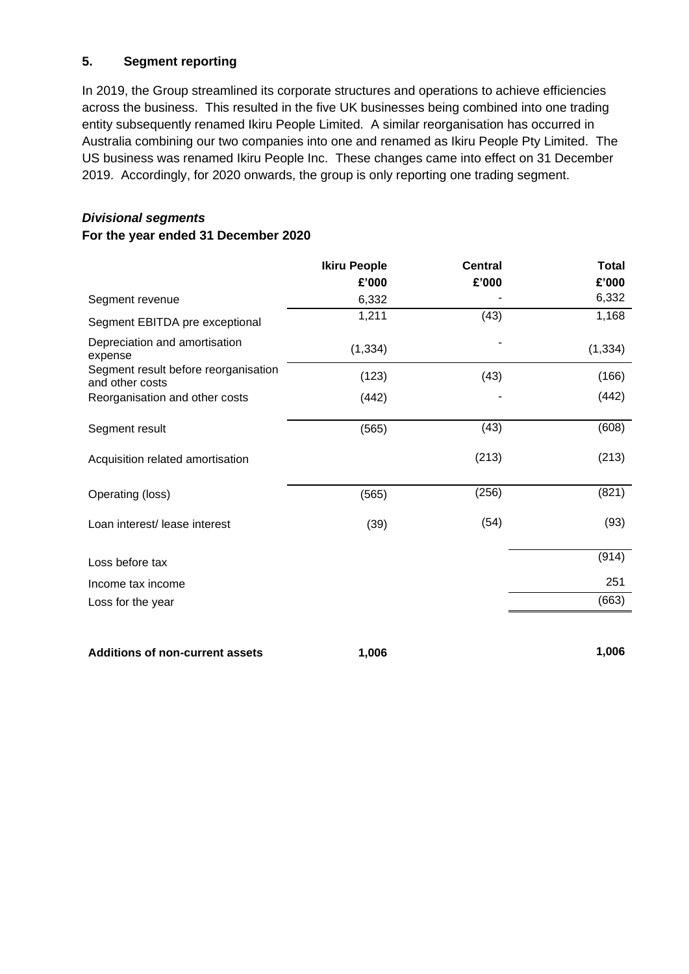## **5. Segment reporting**

In 2019, the Group streamlined its corporate structures and operations to achieve efficiencies across the business. This resulted in the five UK businesses being combined into one trading entity subsequently renamed Ikiru People Limited. A similar reorganisation has occurred in Australia combining our two companies into one and renamed as Ikiru People Pty Limited. The US business was renamed Ikiru People Inc. These changes came into effect on 31 December 2019. Accordingly, for 2020 onwards, the group is only reporting one trading segment.

# *Divisional segments*

## **For the year ended 31 December 2020**

|                                                         | <b>Ikiru People</b> | <b>Central</b> | <b>Total</b> |
|---------------------------------------------------------|---------------------|----------------|--------------|
|                                                         | £'000               | £'000          | £'000        |
| Segment revenue                                         | 6,332               |                | 6,332        |
| Segment EBITDA pre exceptional                          | 1,211               | (43)           | 1,168        |
| Depreciation and amortisation<br>expense                | (1, 334)            |                | (1, 334)     |
| Segment result before reorganisation<br>and other costs | (123)               | (43)           | (166)        |
| Reorganisation and other costs                          | (442)               |                | (442)        |
| Segment result                                          | (565)               | (43)           | (608)        |
| Acquisition related amortisation                        |                     | (213)          | (213)        |
| Operating (loss)                                        | (565)               | (256)          | (821)        |
| Loan interest/ lease interest                           | (39)                | (54)           | (93)         |
| Loss before tax                                         |                     |                | (914)        |
| Income tax income                                       |                     |                | 251          |
| Loss for the year                                       |                     |                | (663)        |
|                                                         |                     |                |              |

**Additions of non-current assets 1,006 1,006**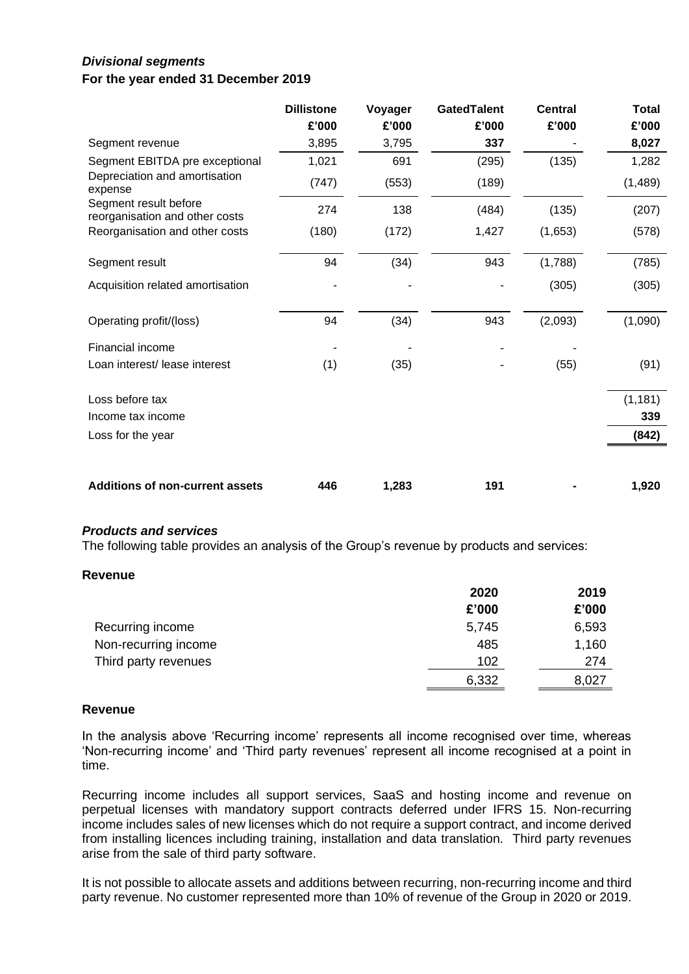## *Divisional segments* **For the year ended 31 December 2019**

|                                                         | <b>Dillistone</b><br>£'000 | Voyager<br>£'000 | <b>GatedTalent</b><br>£'000 | <b>Central</b><br>£'000 | <b>Total</b><br>£'000 |
|---------------------------------------------------------|----------------------------|------------------|-----------------------------|-------------------------|-----------------------|
| Segment revenue                                         | 3,895                      | 3,795            | 337                         |                         | 8,027                 |
| Segment EBITDA pre exceptional                          | 1,021                      | 691              | (295)                       | (135)                   | 1,282                 |
| Depreciation and amortisation<br>expense                | (747)                      | (553)            | (189)                       |                         | (1,489)               |
| Segment result before<br>reorganisation and other costs | 274                        | 138              | (484)                       | (135)                   | (207)                 |
| Reorganisation and other costs                          | (180)                      | (172)            | 1,427                       | (1,653)                 | (578)                 |
| Segment result                                          | 94                         | (34)             | 943                         | (1,788)                 | (785)                 |
| Acquisition related amortisation                        |                            |                  |                             | (305)                   | (305)                 |
| Operating profit/(loss)                                 | 94                         | (34)             | 943                         | (2,093)                 | (1,090)               |
| <b>Financial income</b>                                 |                            |                  |                             |                         |                       |
| Loan interest/ lease interest                           | (1)                        | (35)             |                             | (55)                    | (91)                  |
| Loss before tax                                         |                            |                  |                             |                         | (1, 181)              |
| Income tax income                                       |                            |                  |                             |                         | 339                   |
| Loss for the year                                       |                            |                  |                             |                         | (842)                 |
| <b>Additions of non-current assets</b>                  | 446                        | 1,283            | 191                         |                         | 1,920                 |

## *Products and services*

The following table provides an analysis of the Group's revenue by products and services:

#### **Revenue**

|                      | 2020  | 2019  |
|----------------------|-------|-------|
|                      | £'000 | £'000 |
| Recurring income     | 5,745 | 6,593 |
| Non-recurring income | 485   | 1,160 |
| Third party revenues | 102   | 274   |
|                      | 6,332 | 8,027 |

#### **Revenue**

In the analysis above 'Recurring income' represents all income recognised over time, whereas 'Non-recurring income' and 'Third party revenues' represent all income recognised at a point in time.

Recurring income includes all support services, SaaS and hosting income and revenue on perpetual licenses with mandatory support contracts deferred under IFRS 15. Non-recurring income includes sales of new licenses which do not require a support contract, and income derived from installing licences including training, installation and data translation. Third party revenues arise from the sale of third party software.

It is not possible to allocate assets and additions between recurring, non-recurring income and third party revenue. No customer represented more than 10% of revenue of the Group in 2020 or 2019.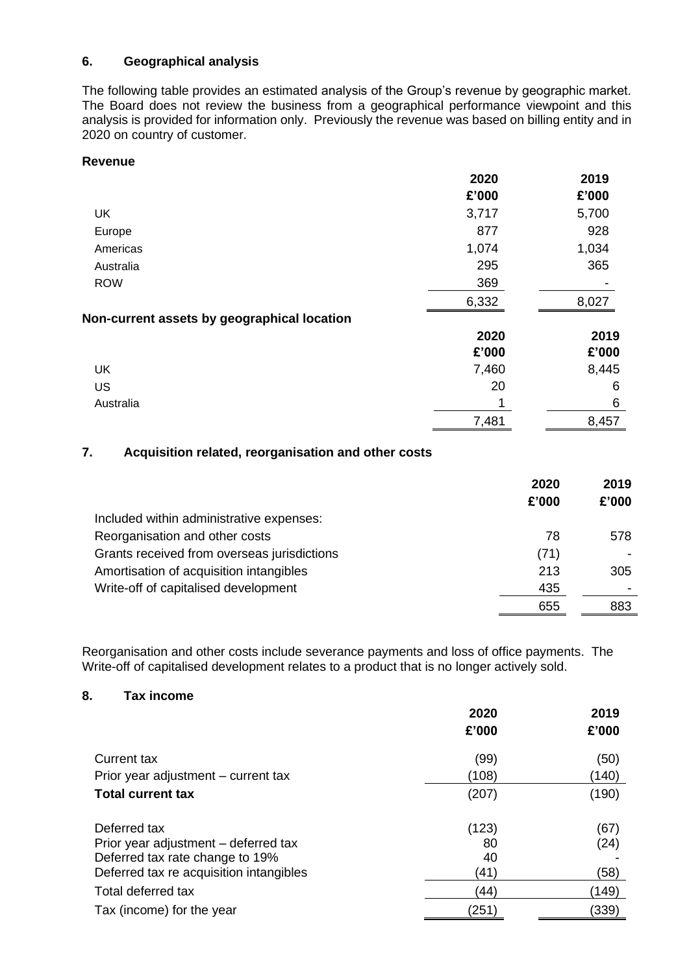## **6. Geographical analysis**

The following table provides an estimated analysis of the Group's revenue by geographic market. The Board does not review the business from a geographical performance viewpoint and this analysis is provided for information only. Previously the revenue was based on billing entity and in 2020 on country of customer.

## **Revenue**

|                                             | 2020  | 2019  |
|---------------------------------------------|-------|-------|
|                                             | £'000 | £'000 |
| UK                                          | 3,717 | 5,700 |
| Europe                                      | 877   | 928   |
| Americas                                    | 1,074 | 1,034 |
| Australia                                   | 295   | 365   |
| <b>ROW</b>                                  | 369   |       |
|                                             | 6,332 | 8,027 |
| Non-current assets by geographical location |       |       |
|                                             | 2020  | 2019  |
|                                             | £'000 | £'000 |
| UK                                          | 7,460 | 8,445 |
| US                                          | 20    | 6     |
| Australia                                   |       | 6     |
|                                             | 7,481 | 8,457 |

## **7. Acquisition related, reorganisation and other costs**

|                                             | 2020  | 2019  |
|---------------------------------------------|-------|-------|
|                                             | £'000 | £'000 |
| Included within administrative expenses:    |       |       |
| Reorganisation and other costs              | 78    | 578   |
| Grants received from overseas jurisdictions | (71)  |       |
| Amortisation of acquisition intangibles     | 213   | 305   |
| Write-off of capitalised development        | 435   |       |
|                                             | 655   | 883   |

Reorganisation and other costs include severance payments and loss of office payments. The Write-off of capitalised development relates to a product that is no longer actively sold.

## **8. Tax income**

|                                         | 2020  | 2019  |
|-----------------------------------------|-------|-------|
|                                         | £'000 | £'000 |
| Current tax                             | (99)  | (50)  |
| Prior year adjustment – current tax     | (108) | (140) |
| <b>Total current tax</b>                | (207) | (190) |
| Deferred tax                            | (123) | (67)  |
| Prior year adjustment - deferred tax    | 80    | (24)  |
| Deferred tax rate change to 19%         | 40    |       |
| Deferred tax re acquisition intangibles | (41)  | (58)  |
| Total deferred tax                      | (44)  | (149) |
| Tax (income) for the year               | (251  | (339) |